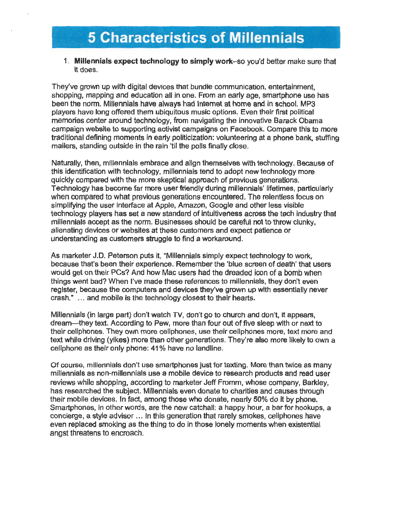1. Millennials expect technology to simply work-so you'd better make sure that it does.

They've grown up with digital devices that bundie communication, entertainment, shopping, mapping and education all in one. From an early age, smartphone use has been the norm. Millennials have always had Internet at home and in school. MP3 players have long offered them ubiquitous music options. Even their first political memories center around technology, from navigating the innovative Barack Obama campaign website to supporting activist campaigns on Facebook. Compare this to more traditional defining moments in early politicization: volunteering at a phone bank. stuffing mailers, standing outside in the rain 'til the polls finally close.

Naturally, then, mlllennials embrace and allgn themselves with technology. Because of this identification with technology, millennials tend to adopt new technology more quickly compared with the more skeptical approach of previous generations. Technology has become far more user friendly during millennials' lifetimes, particularly when compared to what previous generations encountered. The relentless focus on simplifying the user interface at Apple, Amazon, Google and other less visible technology players has set a new standard of intuitiveness across the tech industry that millennials accept as the norm. Businesses should be careful not to throw clunky, alienating devices or websites at these customers and expect patience or understanding as customers struggle to find a workaround.

As marketer J.D. Peterson puts it, "Millennials simply expect technology to work, because that's been their experience. Remember the 'blue screen of death' that users would get on their PCs? And how Mac users had the dreaded icon of a bomb when things went bad? When I've made these references to millennials, they don't even register, because the computers and devices they've grown up with essentially never crash." ... and mobile is the technology closest to their hearts.

Millennials (in large part) don't watch TV, don't go to church and don't, it appears, dream-they text. According to Pew, more than four out of five sleep with or next to their cellphones. They own more cellphones, use their cellphones more, text more and text while driving (yikes) more than other generations. They're also more likely to own a cellphone as their only phone: 41 % have no landline.

Of course, millennials don't use smartphones just for texting. More than twice as many millennials as non-millennials use a mobile device to research products and read user reviews while shopping, according to marketer Jeff Fromm, whose company, Barkley, has researched the subject. Millennials even donate to charities and causes through their mobile devices. In fact, among those who donate, nearly 50% do it by phone. Smartphones, in other words, are the new catchall: a happy hour, a bar for hookups, a concierge, a style advisor ... In this generation that rarely smokes, cellphones have even replaced smoking as the thing to do in those lonely moments when existential angst threatens to encroach.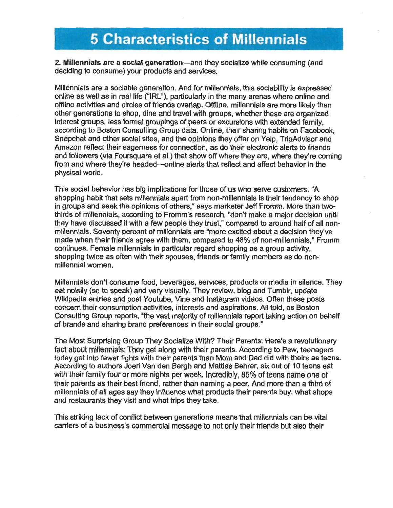2. Millennials are a social generation—and they socialize while consuming (and deciding to consume) your products and services.

Millennials are a sociable generation. And for millennials, this sociability is expressed online as well as in real life ("IRL"), particularly in the many arenas where online and offline activities and circles of friends overlap. Offline, millennials are more likely than other generations to shop, dine and travel with groups, whether these are organized interest groups, less formal groupings of peers or excursions with extended family, according to Boston Consulting Group data. Online, their sharing habits on Facebook, Snapchat and other social sites, and the opinions they offer on Yelp, TripAdvisor and Amazon reflect their eagerness for connection, as do their electronic alerts to friends and followers (via Foursquare et al.) that show off where they are, where they're coming from and where they're headed----online alerts that reflect and affect behavior in the physical world.

This social behavior has big implications for those of us who serve customers. "A shopping habit that sets millennials apart from non-millennials is their tendency to shop in groups and seek the opinions of others," says marketer Jeff Fromm. More than twothirds of millennials, according to Fromm's research, "don't make a major decision until they have discussed it with a few people they trust," compared to around half of all nonmillennials. Seventy percent of millennials are "more excited about a decision they've made when their friends agree with them, compared to 48% of non-millennials," Fromm continues. Female millennials in particular regard shopping as a group activity, shopping twice as often with their spouses, friends or family members as do nonmillennial women.

Millennials don't consume food, beverages, services, products or media in silence. They eat noisily (so to speak) and very visually. They review, blog and Tumblr, update Wikipedia entries and post Youtube, Vine and lnstagram videos. Often these posts concern their consumption activities, interests and aspirations. All told, as Boston Consulting Group reports, "the vast majority of millennials report taking action on behalf of brands and sharing brand preferences in their social groups."

The Most Surprising Group They Socialize With? Their Parents: Here's a revolutionary fact about millennials: They get along With their parents. According to Pew, teenagers today get into fewer fights with their parents than Mom and Dad did with theirs as teens. According to authors Joeri Van den Bergh and Mattias Behrer, six out of 10 teens eat with their family four or more nights per week. Incredibly, 85% of teens name one of their parents as their best friend, rather than naming a peer. And more than a third of millennials of all ages say they influence what products their parents buy, what shops and restaurants they visit and what trips they take.

This striking lack of conflict between generations means that millennials can be vital carriers of a business's commercial message to not only their friends but also their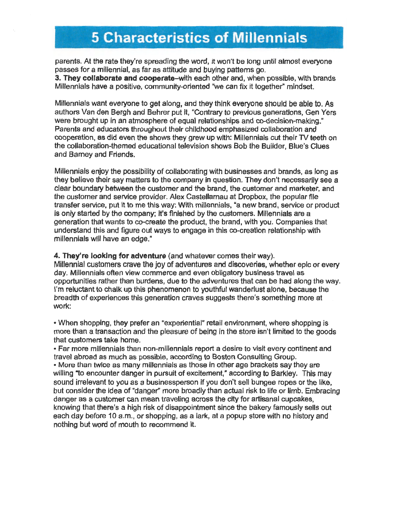parents. At the rate they're spreading the word, it won't be long until almost everyone passes for a millennial, as far as attitude and buying patterns go.

3. They collaborate and cooperate-with each other and, when possible, with brands Millennials have a positive, community-oriented ''we can fix it together" mindset.

Millennials want everyone to get along, and they think everyone should be able to. As authors Van den Bergh and Behrer put it, "Contrary to previous generations, Gen Yers were brought up in an atmosphere of equal relationships and co-decision-making." Parents and educators throughout their childhood emphasized collaboration and cooperation, as did even the shows they grew up with: Millennials cut their TV teeth on the collaboration-themed educational television shows Bob the Builder, Blue's Clues and Barney and Friends.

Millennials enjoy the possibility of collaborating with businesses and brands, as long as they believe their say matters to the company in question. They don't necessarily see a clear boundary between the customer and the brand, the customer and marketer, and the customer and service provider. Alex Castellamau at Dropbox, the popular file transfer service, put it to me this way: With millennials, "a new brand, service or product is only started by the company; It's finished by the customers. Millennials are a generation that wants to co-create the product, the brand, with you. Companies that understand this and figure out ways to engage in this co-creation relationship with millennials will have an edge."

4. They're looking for adventure (and whatever comes their way).

Millennial customers crave the joy of adventures and discoveries, whether epic or every day. Millennials often view commerce and even obligatory business travel as opportunities rather than burdens, due to the adventures that can be had along the way. I'm reluctant to chalk up this phenomenon to youthful wanderlust alone, because the breadth of experiences this generation craves suggests there's something more at work:

•When shopping, they prefer an "experiential" retail environment, where shopping is more than a transaction and the pleasure of being in the store isn't limited to the goods that customers take home.

• Far more millennials than non-mlllennlals report a desire to visit every continent and travel abroad as much as possible, according to Boston Consulting Group.

• More than twice as many millennials as those in other age brackets say they are willing "to encounter danger in pursuit of excitement," according to Barkley. This may sound irrelevant to you as a businessperson if you don't sell bungee ropes or the like, but consider the idea of "danger" more broadly than actual risk to life or limb. Embracing danger as a customer can mean traveling across the city for artisanal cupcakes, knowing that there's a high risk of disappointment since the bakery famously sells out each day before 10 a.m., or shopping, as a lark, at a popup store with no history and nothing but word of mouth to recommend it.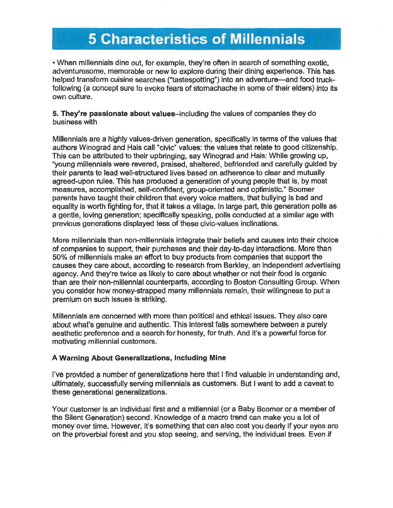• When millennials dine out, for example, they're often in search of something exotic, adventuresome, memorable or new to explore during their dining experience. This has helped transform cuisine searches ("tastespotting") into an adventure-and food truckfollowing (a concept sure to evoke fears of stomachache in some of their elders) into its own culture.

### 5. They're passionate about values-including the values of companies they do business with

Millennials are a highly values-driven generation, specifically in terms of the values that authors Winograd and Hals call "civic" values: the values that relate to good citizenship. This can be attributed to their upbringing, say Winograd and Hais: While growing up, "young millennials were revered, praised, sheltered, befriended and carefully guided by their parents to lead well-structured lives based on adherence to clear and mutually agreed-upon rules. This has produced a generation of young people that is, by most measures, accomplished, self-confident, group-oriented and optimistic." Boomer parents have taught their children that every voice matters, that bullying is bad and equality is worth fighting for, that it takes a village. In large part, this generation polls as a gentle, loving generation; specifically speaking, polls conducted at a similar age with previous generations displayed less of these civic-values inclinations.

More millennials than non-millennials integrate their beliefs and causes into their choice of companies to support, their purchases and their day-to-day interactions. More than 50% of millennials make an effort to buy products from companies that support the causes they care about, according to research from Barkley, an independent advertising agency. And they're twice as likely to care about whether or not their food is organic than are their non-millennial counterparts, according to Boston Consulting Group. When you consider how money-strapped many millennials remain, their willingness to put a premium on such issues is striking.

Millennials are concerned with more than political and ethical issues. They also care about what's genuine and authentic. This interest falls somewhere between a purely aesthetic preference and a search for honesty, for truth. And it's a powerful force for motivating millennial customers.

### A Warning About Generalizations, Including Mine

I've provided a number of generalizations here that I find valuable in understanding and, ultimately, successfully serving millennials as customers. But I want to add a caveat to these generational generalizations.

Your customer is an individual first and a millennial (or a Baby Boomer or a member of the Silent Generation) second. Knowledge of a macro trend can make you a lot of money over time. However, it's something that can also cost you dearly if your eyes are on the proverbial forest and you stop seeing, and serving, the individual trees. Even if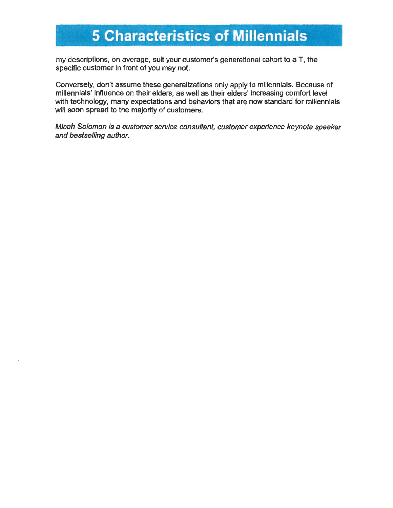my descriptions, on average, suit your customer's generational cohort to a T, the specific customer in front of you may not.

Conversely, don't assume these generalizations only apply to millennials. Because of millennials' influence on their elders, as well as their elders' increasing comfort level with technology, many expectations and behaviors that are now standard for millennials will soon spread to the majority of customers.

Micah Solomon is a customer service consultant, customer experience keynote speaker and bestselling author.